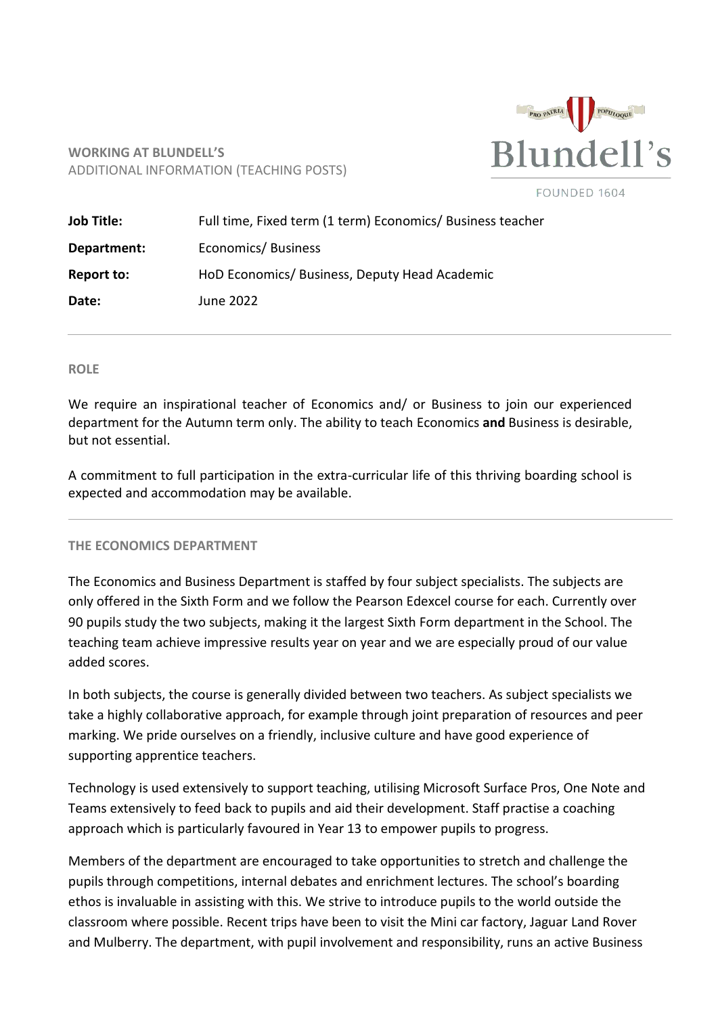

# **WORKING AT BLUNDELL'S** ADDITIONAL INFORMATION (TEACHING POSTS)

FOUNDED 1604

| <b>Job Title:</b> | Full time, Fixed term (1 term) Economics/ Business teacher |
|-------------------|------------------------------------------------------------|
| Department:       | Economics/Business                                         |
| Report to:        | HoD Economics/ Business, Deputy Head Academic              |
| Date:             | June 2022                                                  |

#### **ROLE**

We require an inspirational teacher of Economics and/ or Business to join our experienced department for the Autumn term only. The ability to teach Economics **and** Business is desirable, but not essential.

A commitment to full participation in the extra-curricular life of this thriving boarding school is expected and accommodation may be available.

### **THE ECONOMICS DEPARTMENT**

The Economics and Business Department is staffed by four subject specialists. The subjects are only offered in the Sixth Form and we follow the Pearson Edexcel course for each. Currently over 90 pupils study the two subjects, making it the largest Sixth Form department in the School. The teaching team achieve impressive results year on year and we are especially proud of our value added scores.

In both subjects, the course is generally divided between two teachers. As subject specialists we take a highly collaborative approach, for example through joint preparation of resources and peer marking. We pride ourselves on a friendly, inclusive culture and have good experience of supporting apprentice teachers.

Technology is used extensively to support teaching, utilising Microsoft Surface Pros, One Note and Teams extensively to feed back to pupils and aid their development. Staff practise a coaching approach which is particularly favoured in Year 13 to empower pupils to progress.

Members of the department are encouraged to take opportunities to stretch and challenge the pupils through competitions, internal debates and enrichment lectures. The school's boarding ethos is invaluable in assisting with this. We strive to introduce pupils to the world outside the classroom where possible. Recent trips have been to visit the Mini car factory, Jaguar Land Rover and Mulberry. The department, with pupil involvement and responsibility, runs an active Business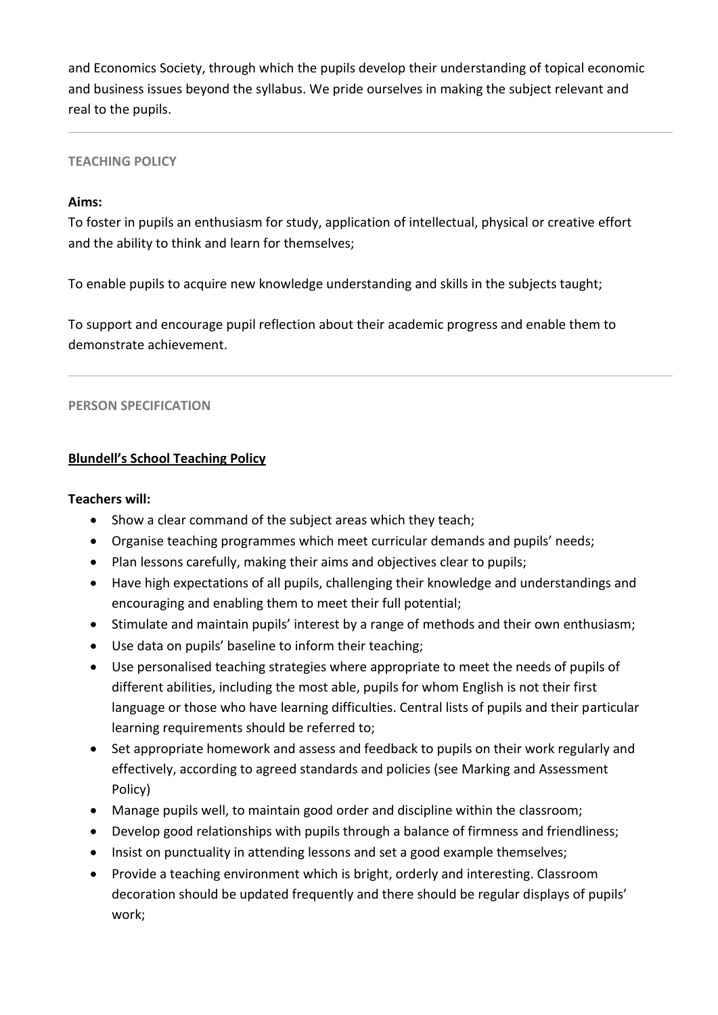and Economics Society, through which the pupils develop their understanding of topical economic and business issues beyond the syllabus. We pride ourselves in making the subject relevant and real to the pupils.

# **TEACHING POLICY**

## **Aims:**

To foster in pupils an enthusiasm for study, application of intellectual, physical or creative effort and the ability to think and learn for themselves;

To enable pupils to acquire new knowledge understanding and skills in the subjects taught;

To support and encourage pupil reflection about their academic progress and enable them to demonstrate achievement.

### **PERSON SPECIFICATION**

# **Blundell's School Teaching Policy**

### **Teachers will:**

- Show a clear command of the subject areas which they teach;
- Organise teaching programmes which meet curricular demands and pupils' needs;
- Plan lessons carefully, making their aims and objectives clear to pupils;
- Have high expectations of all pupils, challenging their knowledge and understandings and encouraging and enabling them to meet their full potential;
- Stimulate and maintain pupils' interest by a range of methods and their own enthusiasm;
- Use data on pupils' baseline to inform their teaching;
- Use personalised teaching strategies where appropriate to meet the needs of pupils of different abilities, including the most able, pupils for whom English is not their first language or those who have learning difficulties. Central lists of pupils and their particular learning requirements should be referred to;
- Set appropriate homework and assess and feedback to pupils on their work regularly and effectively, according to agreed standards and policies (see Marking and Assessment Policy)
- Manage pupils well, to maintain good order and discipline within the classroom;
- Develop good relationships with pupils through a balance of firmness and friendliness;
- Insist on punctuality in attending lessons and set a good example themselves;
- Provide a teaching environment which is bright, orderly and interesting. Classroom decoration should be updated frequently and there should be regular displays of pupils' work;